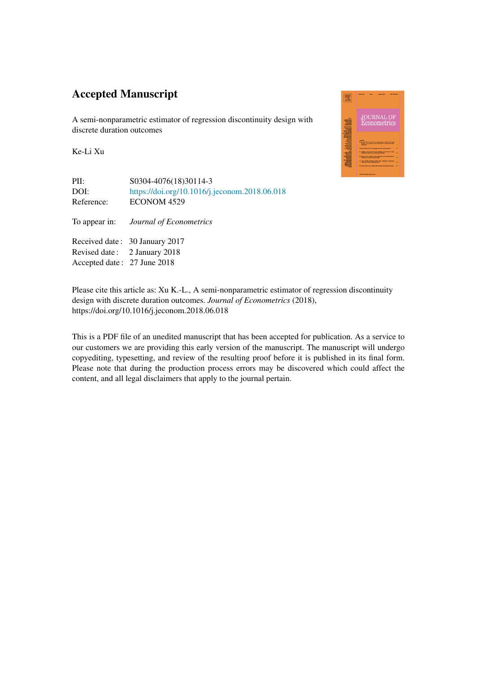## Accepted Manuscript

Accepted date : 27 June 2018

A semi-nonparametric estimator of regression discontinuity design with discrete duration outcomes

Ke-Li Xu

| PII:<br>DOI:<br>Reference: | S0304-4076(18)30114-3<br>https://doi.org/10.1016/j.jeconom.2018.06.018<br>ECONOM 4529 |
|----------------------------|---------------------------------------------------------------------------------------|
| To appear in:              | Journal of Econometrics                                                               |
|                            | Received date: 30 January 2017                                                        |
|                            | Revised date: 2 January 2018                                                          |

dal dalam dialah dalam

Please cite this article as: Xu K.-L., A semi-nonparametric estimator of regression discontinuity design with discrete duration outcomes. *Journal of Econometrics* (2018), https://doi.org/10.1016/j.jeconom.2018.06.018

This is a PDF file of an unedited manuscript that has been accepted for publication. As a service to our customers we are providing this early version of the manuscript. The manuscript will undergo copyediting, typesetting, and review of the resulting proof before it is published in its final form. Please note that during the production process errors may be discovered which could affect the content, and all legal disclaimers that apply to the journal pertain.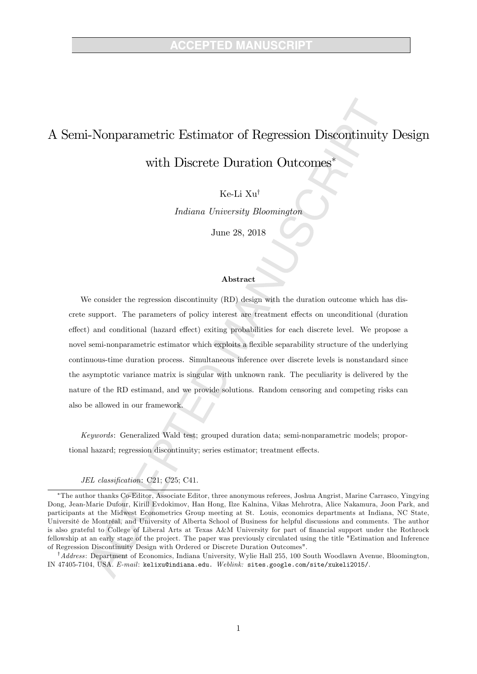## A Semi-Nonparametric Estimator of Regression Discontinuity Design

with Discrete Duration Outcomes

Ke-Li  $X_{11}^{\dagger}$ 

Indiana University Bloomington

June 28, 2018

## Abstract

We consider the regression discontinuity (RD) design with the duration outcome which has discrete support. The parameters of policy interest are treatment effects on unconditional (duration effect) and conditional (hazard effect) exiting probabilities for each discrete level. We propose a novel semi-nonparametric estimator which exploits a flexible separability structure of the underlying continuous-time duration process. Simultaneous inference over discrete levels is nonstandard since the asymptotic variance matrix is singular with unknown rank. The peculiarity is delivered by the nature of the RD estimand, and we provide solutions. Random censoring and competing risks can also be allowed in our framework.

Keywords: Generalized Wald test; grouped duration data; semi-nonparametric models; proportional hazard; regression discontinuity; series estimator; treatment effects.

## JEL classification: C21; C25; C41.

 $^{\dagger}$ Address: Department of Economics, Indiana University, Wylie Hall 255, 100 South Woodlawn Avenue, Bloomington, IN 47405-7104, USA. E-mail: kelixu@indiana.edu. Weblink: sites.google.com/site/xukeli2015/.

The author thanks Co-Editor, Associate Editor, three anonymous referees, Joshua Angrist, Marine Carrasco, Yingying Dong, Jean-Marie Dufour, Kirill Evdokimov, Han Hong, Ilze Kalnina, Vikas Mehrotra, Alice Nakamura, Joon Park, and participants at the Midwest Econometrics Group meeting at St. Louis, economics departments at Indiana, NC State, Université de Montréal, and University of Alberta School of Business for helpful discussions and comments. The author is also grateful to College of Liberal Arts at Texas A&M University for part of Önancial support under the Rothrock fellowship at an early stage of the project. The paper was previously circulated using the title "Estimation and Inference of Regression Discontinuity Design with Ordered or Discrete Duration Outcomes".